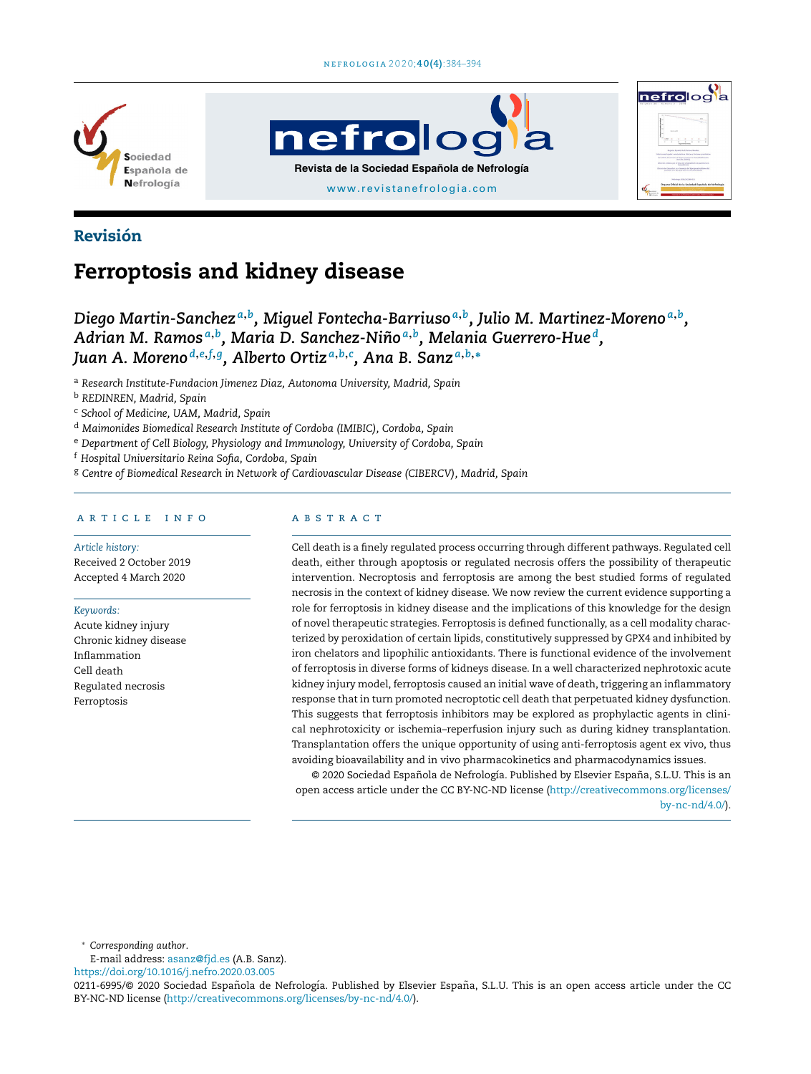





# Revisión

# Ferroptosis and kidney disease

*Diego Martin-Sanchez <sup>a</sup>*,*<sup>b</sup> , Miguel Fontecha-Barriuso <sup>a</sup>*,*<sup>b</sup> , Julio M. Martinez-Moreno <sup>a</sup>*,*<sup>b</sup> , Adrian M. Ramos <sup>a</sup>*,*<sup>b</sup> , Maria D. Sanchez-Nino˜ a*,*b , Melania Guerrero-Hue <sup>d</sup> , Juan A. Moreno <sup>d</sup>*,*e*,*f*,*<sup>g</sup> , Alberto Ortiz <sup>a</sup>*,*b*,*<sup>c</sup> , Ana B. Sanz <sup>a</sup>*,*b*,<sup>∗</sup>

<sup>a</sup> *Research Institute-Fundacion Jimenez Diaz, Autonoma University, Madrid, Spain*

<sup>b</sup> *REDINREN, Madrid, Spain*

<sup>c</sup> *School of Medicine, UAM, Madrid, Spain*

<sup>d</sup> *Maimonides Biomedical Research Institute of Cordoba (IMIBIC), Cordoba, Spain*

<sup>e</sup> *Department of Cell Biology, Physiology and Immunology, University of Cordoba, Spain*

<sup>f</sup> *Hospital Universitario Reina Sofia, Cordoba, Spain*

<sup>g</sup> *Centre of Biomedical Research in Network of Cardiovascular Disease (CIBERCV), Madrid, Spain*

# a r t i c l e i n f o

*Article history:*

Received 2 October 2019 Accepted 4 March 2020

#### *Keywords:*

Acute kidney injury Chronic kidney disease Inflammation Cell death Regulated necrosis Ferroptosis

# A B S T R A C T

Cell death is a finely regulated process occurring through different pathways. Regulated cell death, either through apoptosis or regulated necrosis offers the possibility of therapeutic intervention. Necroptosis and ferroptosis are among the best studied forms of regulated necrosis in the context of kidney disease. We now review the current evidence supporting a role for ferroptosis in kidney disease and the implications of this knowledge for the design of novel therapeutic strategies. Ferroptosis is defined functionally, as a cell modality characterized by peroxidation of certain lipids, constitutively suppressed by GPX4 and inhibited by iron chelators and lipophilic antioxidants. There is functional evidence of the involvement of ferroptosis in diverse forms of kidneys disease. In a well characterized nephrotoxic acute kidney injury model, ferroptosis caused an initial wave of death, triggering an inflammatory response that in turn promoted necroptotic cell death that perpetuated kidney dysfunction. This suggests that ferroptosis inhibitors may be explored as prophylactic agents in clinical nephrotoxicity or ischemia–reperfusion injury such as during kidney transplantation. Transplantation offers the unique opportunity of using anti-ferroptosis agent ex vivo, thus avoiding bioavailability and in vivo pharmacokinetics and pharmacodynamics issues.

© 2020 Sociedad Española de Nefrología. Published by Elsevier España, S.L.U. This is an open access article under the CC BY-NC-ND license ([http://creativecommons.org/licenses/](http://creativecommons.org/licenses/by-nc-nd/4.0/) [by-nc-nd/4.0/](http://creativecommons.org/licenses/by-nc-nd/4.0/)).

<sup>∗</sup> *Corresponding author*.

E-mail address: [asanz@fjd.es](mailto:asanz@fjd.es) (A.B. Sanz). <https://doi.org/10.1016/j.nefro.2020.03.005>

0211-6995/© 2020 Sociedad Española de Nefrología. Published by Elsevier España, S.L.U. This is an open access article under the CC BY-NC-ND license [\(http://creativecommons.org/licenses/by-nc-nd/4.0/](http://creativecommons.org/licenses/by-nc-nd/4.0/)).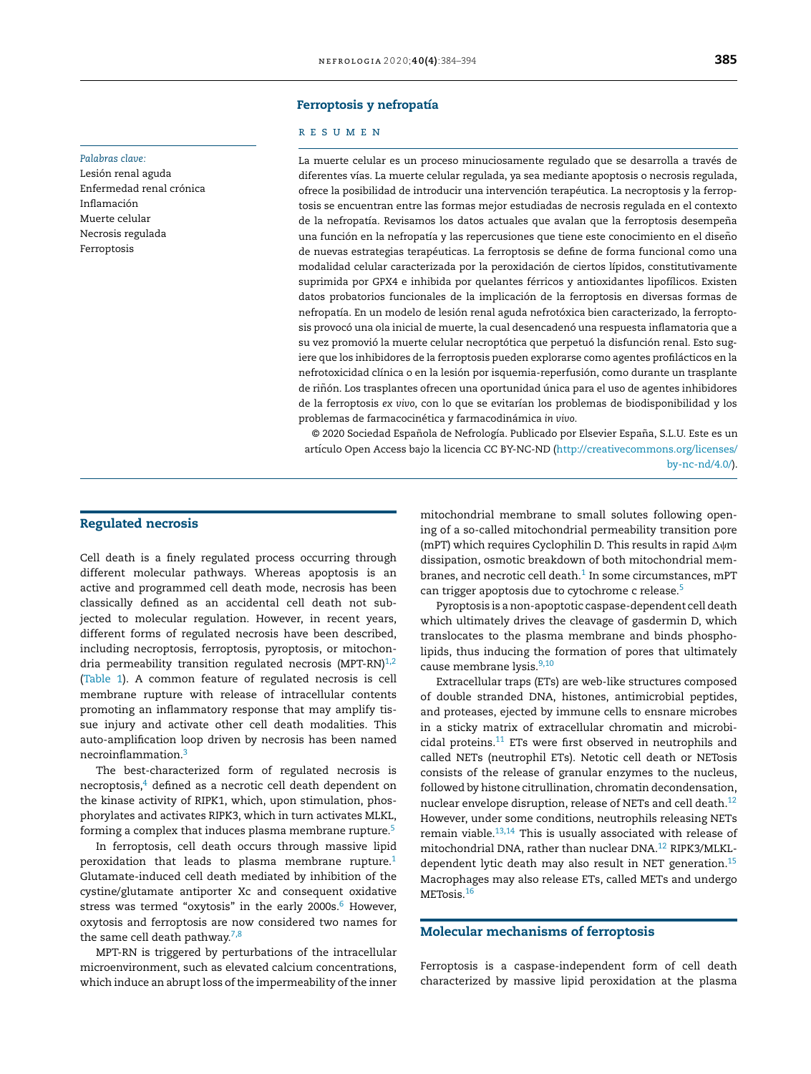#### Ferroptosis y nefropatía

#### r e s u m e n

La muerte celular es un proceso minuciosamente regulado que se desarrolla a través de diferentes vías. La muerte celular regulada, ya sea mediante apoptosis o necrosis regulada, ofrece la posibilidad de introducir una intervención terapéutica. La necroptosis y la ferroptosis se encuentran entre las formas mejor estudiadas de necrosis regulada en el contexto de la nefropatía. Revisamos los datos actuales que avalan que la ferroptosis desempeña una función en la nefropatía y las repercusiones que tiene este conocimiento en el diseño de nuevas estrategias terapéuticas. La ferroptosis se define de forma funcional como una modalidad celular caracterizada por la peroxidación de ciertos lípidos, constitutivamente suprimida por GPX4 e inhibida por quelantes férricos y antioxidantes lipofílicos. Existen datos probatorios funcionales de la implicación de la ferroptosis en diversas formas de nefropatía. En un modelo de lesión renal aguda nefrotóxica bien caracterizado, la ferroptosis provocó una ola inicial de muerte, la cual desencadenó una respuesta inflamatoria que a su vez promovió la muerte celular necroptótica que perpetuó la disfunción renal. Esto sugiere que los inhibidores de la ferroptosis pueden explorarse como agentes profilácticos en la nefrotoxicidad clínica o en la lesión por isquemia-reperfusión, como durante un trasplante de riñón. Los trasplantes ofrecen una oportunidad única para el uso de agentes inhibidores de la ferroptosis *ex vivo*, con lo que se evitarían los problemas de biodisponibilidad y los problemas de farmacocinética y farmacodinámica *in vivo*.

© 2020 Sociedad Española de Nefrología. Publicado por Elsevier España, S.L.U. Este es un artículo Open Access bajo la licencia CC BY-NC-ND ([http://creativecommons.org/licenses/](http://creativecommons.org/licenses/by-nc-nd/4.0/) [by-nc-nd/4.0/](http://creativecommons.org/licenses/by-nc-nd/4.0/)).

# Regulated necrosis

*Palabras clave:* Lesión renal aguda Enfermedad renal crónica

Inflamación Muerte celular Necrosis regulada Ferroptosis

Cell death is a finely regulated process occurring through different molecular pathways. Whereas apoptosis is an active and programmed cell death mode, necrosis has been classically defined as an accidental cell death not subjected to molecular regulation. However, in recent years, different forms of regulated necrosis have been described, including necroptosis, ferroptosis, pyroptosis, or mitochondria permeability transition regulated necrosis  $(MPT-RN)^{1,2}$  $(MPT-RN)^{1,2}$  $(MPT-RN)^{1,2}$ [\(Table](#page-2-0) 1). A common feature of regulated necrosis is cell membrane rupture with release of intracellular contents promoting an inflammatory response that may amplify tissue injury and activate other cell death modalities. This auto-amplification loop driven by necrosis has been named necroinflammation.[3](#page-7-0)

The best-characterized form of regulated necrosis is necroptosis,<sup>[4](#page-7-0)</sup> defined as a necrotic cell death dependent on the kinase activity of RIPK1, which, upon stimulation, phosphorylates and activates RIPK3, which in turn activates MLKL, forming a complex that induces plasma membrane rupture.<sup>[5](#page-7-0)</sup>

In ferroptosis, cell death occurs through massive lipid peroxidation that leads to plasma membrane rupture. $1$ Glutamate-induced cell death mediated by inhibition of the cystine/glutamate antiporter Xc and consequent oxidative stress was termed "oxytosis" in the early  $2000s$ .<sup>[6](#page-7-0)</sup> However, oxytosis and ferroptosis are now considered two names for the same cell death pathway. $7,8$ 

MPT-RN is triggered by perturbations of the intracellular microenvironment, such as elevated calcium concentrations, which induce an abrupt loss of the impermeability of the inner

mitochondrial membrane to small solutes following opening of a so-called mitochondrial permeability transition pore (mPT) which requires Cyclophilin D. This results in rapid  $\Delta \psi$ m dissipation, osmotic breakdown of both mitochondrial membranes, and necrotic cell death. $^1$  $^1$  In some circumstances, mPT  $\,$ can trigger apoptosis due to cytochrome c release.<sup>[5](#page-7-0)</sup>

Pyroptosis is a non-apoptotic caspase-dependent cell death which ultimately drives the cleavage of gasdermin D, which translocates to the plasma membrane and binds phospholipids, thus inducing the formation of pores that ultimately cause membrane lysis.<sup>[9,10](#page-7-0)</sup>

Extracellular traps (ETs) are web-like structures composed of double stranded DNA, histones, antimicrobial peptides, and proteases, ejected by immune cells to ensnare microbes in a sticky matrix of extracellular chromatin and microbicidal proteins. $11$  ETs were first observed in neutrophils and called NETs (neutrophil ETs). Netotic cell death or NETosis consists of the release of granular enzymes to the nucleus, followed by histone citrullination, chromatin decondensation, nuclear envelope disruption, release of NETs and cell death.<sup>[12](#page-7-0)</sup> However, under some conditions, neutrophils releasing NETs remain viable.<sup>[13,14](#page-7-0)</sup> This is usually associated with release of mitochondrial DNA, rather than nuclear DNA.[12](#page-7-0) RIPK3/MLKL-dependent lytic death may also result in NET generation.<sup>[15](#page-8-0)</sup> Macrophages may also release ETs, called METs and undergo METosis.<sup>[16](#page-8-0)</sup>

# Molecular mechanisms of ferroptosis

Ferroptosis is a caspase-independent form of cell death characterized by massive lipid peroxidation at the plasma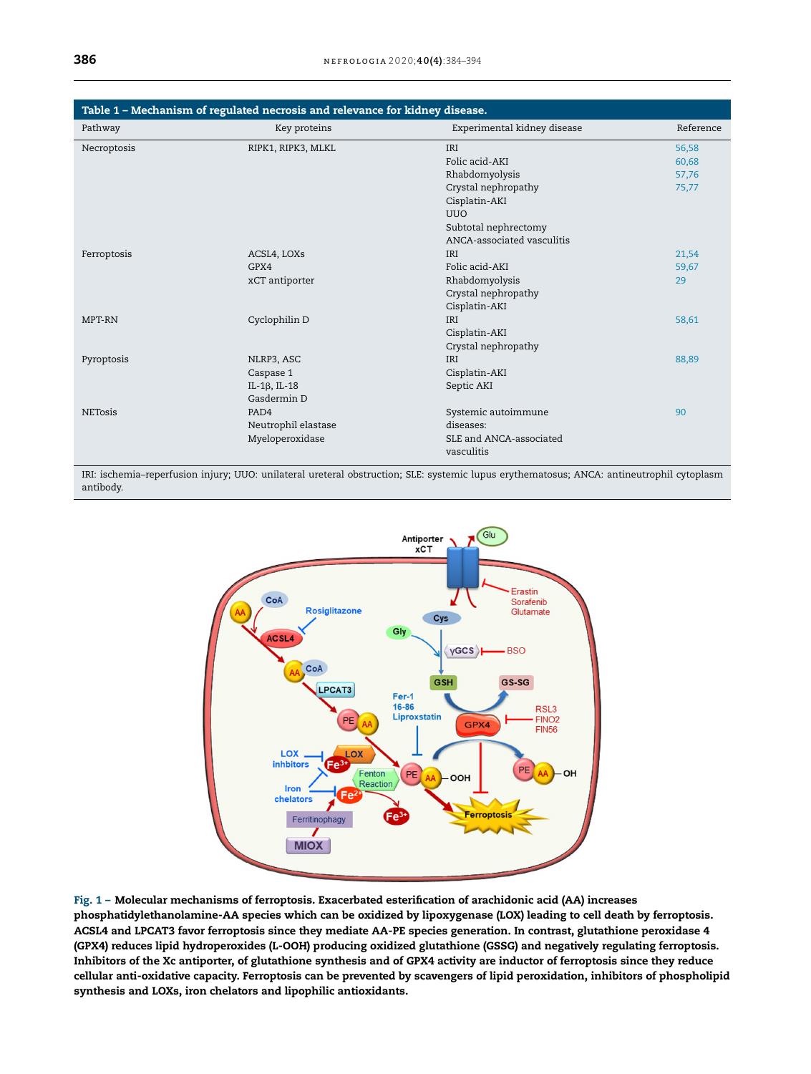<span id="page-2-0"></span>

| Table 1 - Mechanism of regulated necrosis and relevance for kidney disease. |                      |                             |           |  |  |  |
|-----------------------------------------------------------------------------|----------------------|-----------------------------|-----------|--|--|--|
| Pathway                                                                     | Key proteins         | Experimental kidney disease | Reference |  |  |  |
| Necroptosis                                                                 | RIPK1, RIPK3, MLKL   | <b>IRI</b>                  | 56,58     |  |  |  |
|                                                                             |                      | Folic acid-AKI              | 60,68     |  |  |  |
|                                                                             |                      | Rhabdomyolysis              | 57,76     |  |  |  |
|                                                                             |                      | Crystal nephropathy         | 75,77     |  |  |  |
|                                                                             |                      | Cisplatin-AKI               |           |  |  |  |
|                                                                             |                      | <b>UUO</b>                  |           |  |  |  |
|                                                                             |                      | Subtotal nephrectomy        |           |  |  |  |
|                                                                             |                      | ANCA-associated vasculitis  |           |  |  |  |
| Ferroptosis                                                                 | ACSL4, LOXs          | IRI                         | 21,54     |  |  |  |
|                                                                             | GPX4                 | Folic acid-AKI              | 59,67     |  |  |  |
|                                                                             | xCT antiporter       | Rhabdomyolysis              | 29        |  |  |  |
|                                                                             |                      | Crystal nephropathy         |           |  |  |  |
|                                                                             |                      | Cisplatin-AKI               |           |  |  |  |
| MPT-RN                                                                      | Cyclophilin D        | IRI                         | 58,61     |  |  |  |
|                                                                             |                      | Cisplatin-AKI               |           |  |  |  |
|                                                                             |                      | Crystal nephropathy         |           |  |  |  |
| Pyroptosis                                                                  | NLRP3, ASC           | IRI                         | 88,89     |  |  |  |
|                                                                             | Caspase 1            | Cisplatin-AKI               |           |  |  |  |
|                                                                             | IL-1 $\beta$ , IL-18 | Septic AKI                  |           |  |  |  |
|                                                                             | Gasdermin D          |                             |           |  |  |  |
| <b>NETosis</b>                                                              | PAD <sub>4</sub>     | Systemic autoimmune         | 90        |  |  |  |
|                                                                             | Neutrophil elastase  | diseases:                   |           |  |  |  |
|                                                                             | Myeloperoxidase      | SLE and ANCA-associated     |           |  |  |  |
|                                                                             |                      | vasculitis                  |           |  |  |  |

IRI: ischemia–reperfusion injury; UUO: unilateral ureteral obstruction; SLE: systemic lupus erythematosus; ANCA: antineutrophil cytoplasm antibody.



Fig. 1 – Molecular mechanisms of ferroptosis. Exacerbated esterification of arachidonic acid (AA) increases phosphatidylethanolamine-AA species which can be oxidized by lipoxygenase (LOX) leading to cell death by ferroptosis. ACSL4 and LPCAT3 favor ferroptosis since they mediate AA-PE species generation. In contrast, glutathione peroxidase 4 (GPX4) reduces lipid hydroperoxides (L-OOH) producing oxidized glutathione (GSSG) and negatively regulating ferroptosis. Inhibitors of the Xc antiporter, of glutathione synthesis and of GPX4 activity are inductor of ferroptosis since they reduce cellular anti-oxidative capacity. Ferroptosis can be prevented by scavengers of lipid peroxidation, inhibitors of phospholipid synthesis and LOXs, iron chelators and lipophilic antioxidants.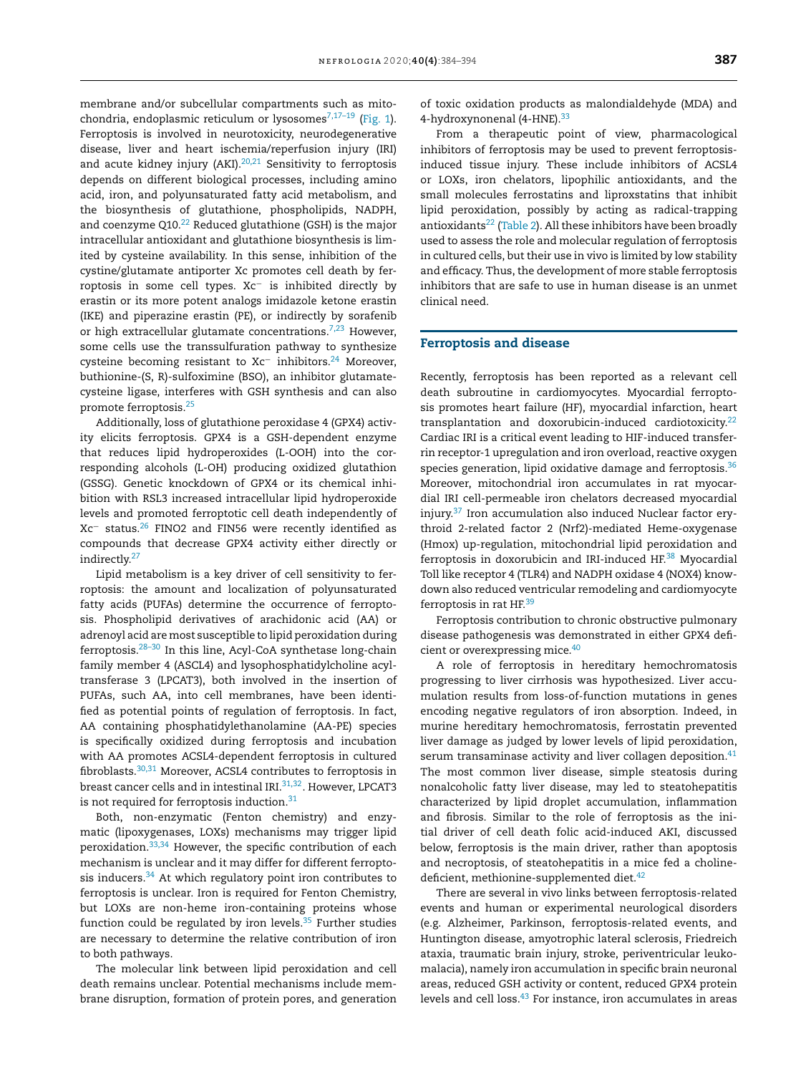membrane and/or subcellular compartments such as mitochondria, endoplasmic reticulum or lysosomes $^{7,17-19}$  ([Fig.](#page-2-0) 1). Ferroptosis is involved in neurotoxicity, neurodegenerative disease, liver and heart ischemia/reperfusion injury (IRI) and acute kidney injury (AKI). $20,21$  Sensitivity to ferroptosis depends on different biological processes, including amino acid, iron, and polyunsaturated fatty acid metabolism, and the biosynthesis of glutathione, phospholipids, NADPH, and coenzyme  $Q10<sup>22</sup>$  $Q10<sup>22</sup>$  $Q10<sup>22</sup>$  Reduced glutathione (GSH) is the major intracellular antioxidant and glutathione biosynthesis is limited by cysteine availability. In this sense, inhibition of the cystine/glutamate antiporter Xc promotes cell death by ferroptosis in some cell types. Xc<sup>−</sup> is inhibited directly by erastin or its more potent analogs imidazole ketone erastin (IKE) and piperazine erastin (PE), or indirectly by sorafenib or high extracellular glutamate concentrations.<sup>[7,23](#page-7-0)</sup> However, some cells use the transsulfuration pathway to synthesize cysteine becoming resistant to Xc<sup>−</sup> inhibitors.[24](#page-8-0) Moreover, buthionine-(S, R)-sulfoximine (BSO), an inhibitor glutamatecysteine ligase, interferes with GSH synthesis and can also promote ferroptosis.[25](#page-8-0)

Additionally, loss of glutathione peroxidase 4 (GPX4) activity elicits ferroptosis. GPX4 is a GSH-dependent enzyme that reduces lipid hydroperoxides (L-OOH) into the corresponding alcohols (L-OH) producing oxidized glutathion (GSSG). Genetic knockdown of GPX4 or its chemical inhibition with RSL3 increased intracellular lipid hydroperoxide levels and promoted ferroptotic cell death independently of Xc<sup>−</sup> status.[26](#page-8-0) FINO2 and FIN56 were recently identified as compounds that decrease GPX4 activity either directly or indirectly.[27](#page-8-0)

Lipid metabolism is a key driver of cell sensitivity to ferroptosis: the amount and localization of polyunsaturated fatty acids (PUFAs) determine the occurrence of ferroptosis. Phospholipid derivatives of arachidonic acid (AA) or adrenoyl acid are most susceptible to lipid peroxidation during ferroptosis.[28–30](#page-8-0) In this line, Acyl-CoA synthetase long-chain family member 4 (ASCL4) and lysophosphatidylcholine acyltransferase 3 (LPCAT3), both involved in the insertion of PUFAs, such AA, into cell membranes, have been identified as potential points of regulation of ferroptosis. In fact, AA containing phosphatidylethanolamine (AA-PE) species is specifically oxidized during ferroptosis and incubation with AA promotes ACSL4-dependent ferroptosis in cultured fibroblasts.[30,31](#page-8-0) Moreover, ACSL4 contributes to ferroptosis in breast cancer cells and in intestinal IRI.<sup>[31,32](#page-8-0)</sup>. However, LPCAT3 is not required for ferroptosis induction.<sup>[31](#page-8-0)</sup>

Both, non-enzymatic (Fenton chemistry) and enzymatic (lipoxygenases, LOXs) mechanisms may trigger lipid peroxidation.[33,34](#page-8-0) However, the specific contribution of each mechanism is unclear and it may differ for different ferropto-sis inducers.<sup>[34](#page-8-0)</sup> At which regulatory point iron contributes to ferroptosis is unclear. Iron is required for Fenton Chemistry, but LOXs are non-heme iron-containing proteins whose function could be regulated by iron levels. $35$  Further studies are necessary to determine the relative contribution of iron to both pathways.

The molecular link between lipid peroxidation and cell death remains unclear. Potential mechanisms include membrane disruption, formation of protein pores, and generation of toxic oxidation products as malondialdehyde (MDA) and 4-hydroxynonenal (4-HNE).<sup>[33](#page-8-0)</sup>

From a therapeutic point of view, pharmacological inhibitors of ferroptosis may be used to prevent ferroptosisinduced tissue injury. These include inhibitors of ACSL4 or LOXs, iron chelators, lipophilic antioxidants, and the small molecules ferrostatins and liproxstatins that inhibit lipid peroxidation, possibly by acting as radical-trapping antioxidants $^{22}$  $^{22}$  $^{22}$  ([Table](#page-4-0) 2). All these inhibitors have been broadly used to assess the role and molecular regulation of ferroptosis in cultured cells, but their use in vivo is limited by low stability and efficacy. Thus, the development of more stable ferroptosis inhibitors that are safe to use in human disease is an unmet clinical need.

#### Ferroptosis and disease

Recently, ferroptosis has been reported as a relevant cell death subroutine in cardiomyocytes. Myocardial ferroptosis promotes heart failure (HF), myocardial infarction, heart transplantation and doxorubicin-induced cardiotoxicity. $22$ Cardiac IRI is a critical event leading to HIF-induced transferrin receptor-1 upregulation and iron overload, reactive oxygen species generation, lipid oxidative damage and ferroptosis.<sup>[36](#page-8-0)</sup> Moreover, mitochondrial iron accumulates in rat myocardial IRI cell-permeable iron chelators decreased myocardial injury.<sup>[37](#page-8-0)</sup> Iron accumulation also induced Nuclear factor erythroid 2-related factor 2 (Nrf2)-mediated Heme-oxygenase (Hmox) up-regulation, mitochondrial lipid peroxidation and ferroptosis in doxorubicin and IRI-induced HF.[38](#page-8-0) Myocardial Toll like receptor 4 (TLR4) and NADPH oxidase 4 (NOX4) knowdown also reduced ventricular remodeling and cardiomyocyte ferroptosis in rat HF.[39](#page-8-0)

Ferroptosis contribution to chronic obstructive pulmonary disease pathogenesis was demonstrated in either GPX4 defi-cient or overexpressing mice.<sup>[40](#page-8-0)</sup>

A role of ferroptosis in hereditary hemochromatosis progressing to liver cirrhosis was hypothesized. Liver accumulation results from loss-of-function mutations in genes encoding negative regulators of iron absorption. Indeed, in murine hereditary hemochromatosis, ferrostatin prevented liver damage as judged by lower levels of lipid peroxidation, serum transaminase activity and liver collagen deposition. $41$ The most common liver disease, simple steatosis during nonalcoholic fatty liver disease, may led to steatohepatitis characterized by lipid droplet accumulation, inflammation and fibrosis. Similar to the role of ferroptosis as the initial driver of cell death folic acid-induced AKI, discussed below, ferroptosis is the main driver, rather than apoptosis and necroptosis, of steatohepatitis in a mice fed a choline-deficient, methionine-supplemented diet.<sup>[42](#page-8-0)</sup>

There are several in vivo links between ferroptosis-related events and human or experimental neurological disorders (e.g. Alzheimer, Parkinson, ferroptosis-related events, and Huntington disease, amyotrophic lateral sclerosis, Friedreich ataxia, traumatic brain injury, stroke, periventricular leukomalacia), namely iron accumulation in specific brain neuronal areas, reduced GSH activity or content, reduced GPX4 protein levels and cell loss.<sup>[43](#page-8-0)</sup> For instance, iron accumulates in areas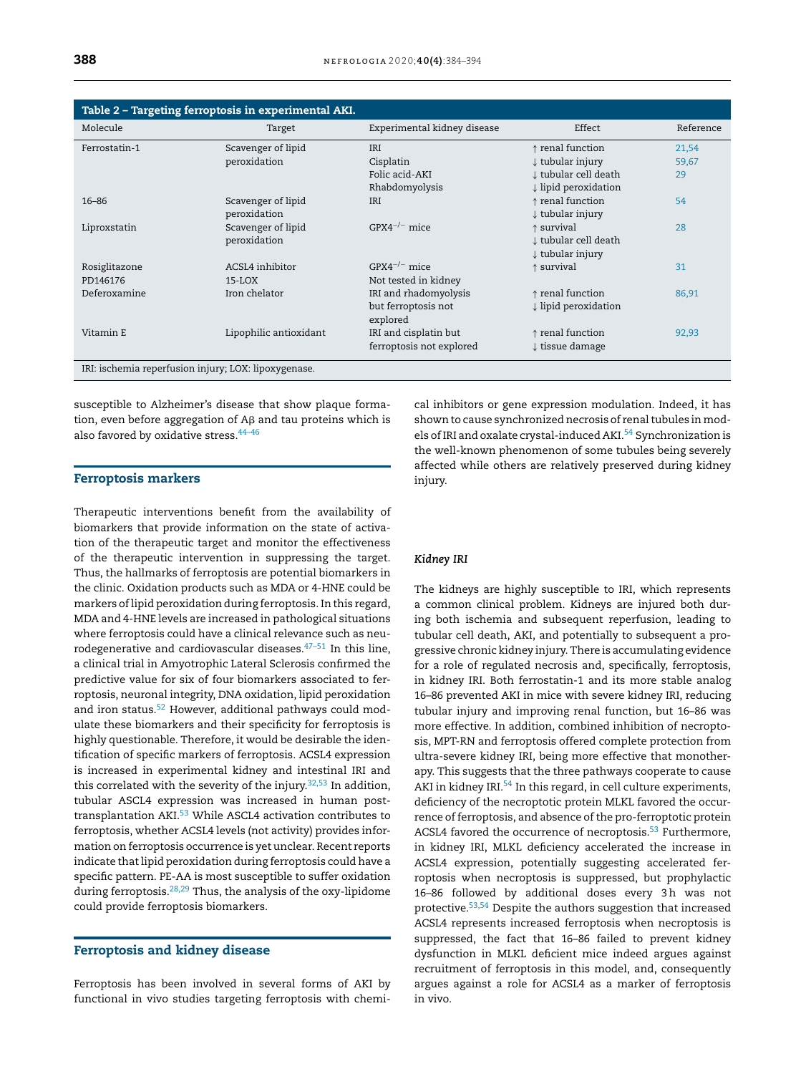<span id="page-4-0"></span>

| Table 2 - Targeting ferroptosis in experimental AKI. |                        |                             |                                 |           |  |
|------------------------------------------------------|------------------------|-----------------------------|---------------------------------|-----------|--|
| Molecule                                             | Target                 | Experimental kidney disease | Effect                          | Reference |  |
| Ferrostatin-1                                        | Scavenger of lipid     | <b>IRI</b>                  | ↑ renal function                | 21,54     |  |
|                                                      | peroxidation           | Cisplatin                   | $\downarrow$ tubular injury     | 59,67     |  |
|                                                      |                        | Folic acid-AKI              | $\downarrow$ tubular cell death | 29        |  |
|                                                      |                        | Rhabdomyolysis              | $\downarrow$ lipid peroxidation |           |  |
| $16 - 86$                                            | Scavenger of lipid     | <b>IRI</b>                  | ↑ renal function                | 54        |  |
|                                                      | peroxidation           |                             | $\downarrow$ tubular injury     |           |  |
| Liproxstatin                                         | Scavenger of lipid     | $GPX4^{-/-}$ mice           | $\uparrow$ survival             | 28        |  |
|                                                      | peroxidation           |                             | ↓ tubular cell death            |           |  |
|                                                      |                        |                             | $\downarrow$ tubular injury     |           |  |
| Rosiglitazone                                        | ACSL4 inhibitor        | $GPX4^{-/-}$ mice           | survival                        | 31        |  |
| PD146176                                             | $15$ -LOX              | Not tested in kidney        |                                 |           |  |
| Deferoxamine                                         | Iron chelator          | IRI and rhadomyolysis       | ↑ renal function                | 86,91     |  |
|                                                      |                        | but ferroptosis not         | $\downarrow$ lipid peroxidation |           |  |
|                                                      |                        | explored                    |                                 |           |  |
| Vitamin E                                            | Lipophilic antioxidant | IRI and cisplatin but       | ↑ renal function                | 92,93     |  |
|                                                      |                        | ferroptosis not explored    | tissue damage                   |           |  |
| IRI: ischemia reperfusion injury; LOX: lipoxygenase. |                        |                             |                                 |           |  |

susceptible to Alzheimer's disease that show plaque formation, even before aggregation of  $A\beta$  and tau proteins which is also favored by oxidative stress. $44-46$ 

# Ferroptosis markers

Therapeutic interventions benefit from the availability of biomarkers that provide information on the state of activation of the therapeutic target and monitor the effectiveness of the therapeutic intervention in suppressing the target. Thus, the hallmarks of ferroptosis are potential biomarkers in the clinic. Oxidation products such as MDA or 4-HNE could be markers oflipid peroxidation during ferroptosis. In this regard, MDA and 4-HNE levels are increased in pathological situations where ferroptosis could have a clinical relevance such as neurodegenerative and cardiovascular diseases. $47-51$  In this line, a clinical trial in Amyotrophic Lateral Sclerosis confirmed the predictive value for six of four biomarkers associated to ferroptosis, neuronal integrity, DNA oxidation, lipid peroxidation and iron status.<sup>[52](#page-9-0)</sup> However, additional pathways could modulate these biomarkers and their specificity for ferroptosis is highly questionable. Therefore, it would be desirable the identification of specific markers of ferroptosis. ACSL4 expression is increased in experimental kidney and intestinal IRI and this correlated with the severity of the injury. $32,53$  In addition, tubular ASCL4 expression was increased in human post-transplantation AKI.<sup>[53](#page-9-0)</sup> While ASCL4 activation contributes to ferroptosis, whether ACSL4 levels (not activity) provides information on ferroptosis occurrence is yet unclear. Recent reports indicate that lipid peroxidation during ferroptosis could have a specific pattern. PE-AA is most susceptible to suffer oxidation during ferroptosis.[28,29](#page-8-0) Thus, the analysis of the oxy-lipidome could provide ferroptosis biomarkers.

# Ferroptosis and kidney disease

Ferroptosis has been involved in several forms of AKI by functional in vivo studies targeting ferroptosis with chemical inhibitors or gene expression modulation. Indeed, it has shown to cause synchronized necrosis of renal tubules in mod-els of IRI and oxalate crystal-induced AKI.<sup>[54](#page-9-0)</sup> Synchronization is the well-known phenomenon of some tubules being severely affected while others are relatively preserved during kidney injury.

# *Kidney IRI*

The kidneys are highly susceptible to IRI, which represents a common clinical problem. Kidneys are injured both during both ischemia and subsequent reperfusion, leading to tubular cell death, AKI, and potentially to subsequent a progressive chronic kidney injury. There is accumulating evidence for a role of regulated necrosis and, specifically, ferroptosis, in kidney IRI. Both ferrostatin-1 and its more stable analog 16–86 prevented AKI in mice with severe kidney IRI, reducing tubular injury and improving renal function, but 16–86 was more effective. In addition, combined inhibition of necroptosis, MPT-RN and ferroptosis offered complete protection from ultra-severe kidney IRI, being more effective that monotherapy. This suggests that the three pathways cooperate to cause AKI in kidney IRI.<sup>[54](#page-9-0)</sup> In this regard, in cell culture experiments, deficiency of the necroptotic protein MLKL favored the occurrence of ferroptosis, and absence of the pro-ferroptotic protein ACSL4 favored the occurrence of necroptosis.<sup>[53](#page-9-0)</sup> Furthermore, in kidney IRI, MLKL deficiency accelerated the increase in ACSL4 expression, potentially suggesting accelerated ferroptosis when necroptosis is suppressed, but prophylactic 16–86 followed by additional doses every 3h was not protective.<sup>[53,54](#page-9-0)</sup> Despite the authors suggestion that increased ACSL4 represents increased ferroptosis when necroptosis is suppressed, the fact that 16–86 failed to prevent kidney dysfunction in MLKL deficient mice indeed argues against recruitment of ferroptosis in this model, and, consequently argues against a role for ACSL4 as a marker of ferroptosis in vivo.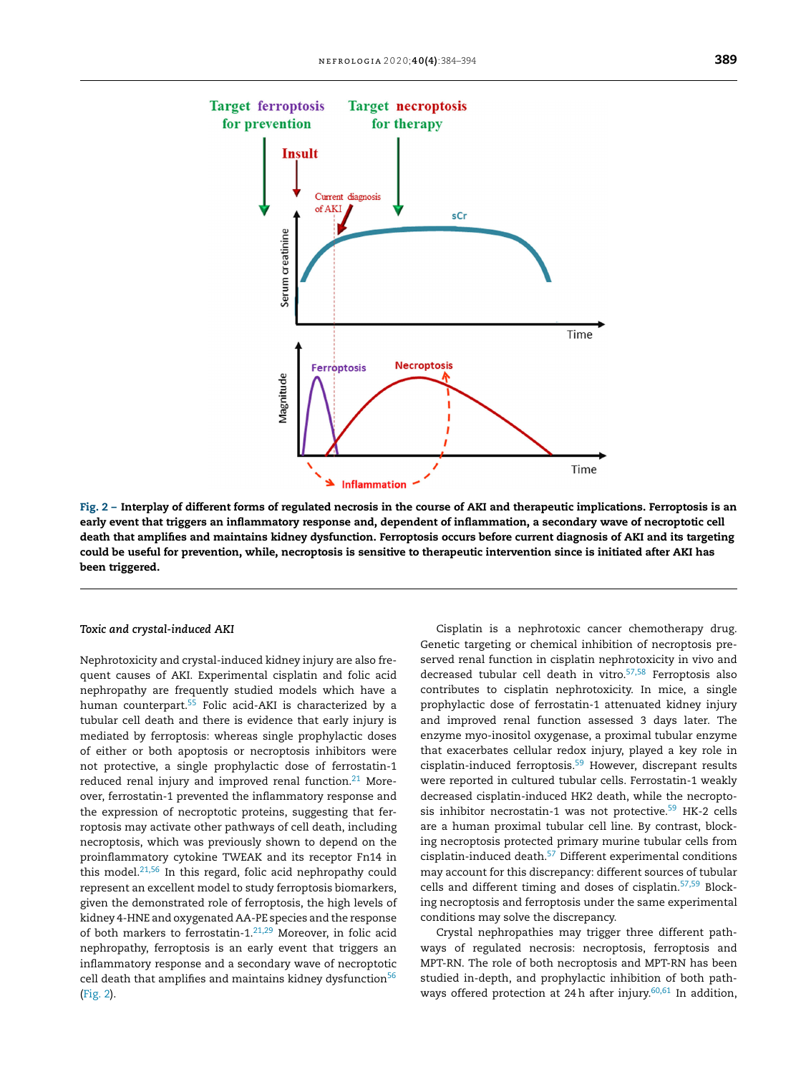

Fig. 2 – Interplay of different forms of regulated necrosis in the course of AKI and therapeutic implications. Ferroptosis is an early event that triggers an inflammatory response and, dependent of inflammation, a secondary wave of necroptotic cell death that amplifies and maintains kidney dysfunction. Ferroptosis occurs before current diagnosis of AKI and its targeting could be useful for prevention, while, necroptosis is sensitive to therapeutic intervention since is initiated after AKI has been triggered.

# *Toxic and crystal-induced AKI*

Nephrotoxicity and crystal-induced kidney injury are also frequent causes of AKI. Experimental cisplatin and folic acid nephropathy are frequently studied models which have a human counterpart.<sup>[55](#page-9-0)</sup> Folic acid-AKI is characterized by a tubular cell death and there is evidence that early injury is mediated by ferroptosis: whereas single prophylactic doses of either or both apoptosis or necroptosis inhibitors were not protective, a single prophylactic dose of ferrostatin-1 reduced renal injury and improved renal function.<sup>[21](#page-8-0)</sup> Moreover, ferrostatin-1 prevented the inflammatory response and the expression of necroptotic proteins, suggesting that ferroptosis may activate other pathways of cell death, including necroptosis, which was previously shown to depend on the proinflammatory cytokine TWEAK and its receptor Fn14 in this model.[21,56](#page-8-0) In this regard, folic acid nephropathy could represent an excellent model to study ferroptosis biomarkers, given the demonstrated role of ferroptosis, the high levels of kidney 4-HNE and oxygenated AA-PE species and the response of both markers to ferrostatin-1. $21,29$  Moreover, in folic acid nephropathy, ferroptosis is an early event that triggers an inflammatory response and a secondary wave of necroptotic cell death that amplifies and maintains kidney dysfunction $56$ (Fig. 2).

Cisplatin is a nephrotoxic cancer chemotherapy drug. Genetic targeting or chemical inhibition of necroptosis preserved renal function in cisplatin nephrotoxicity in vivo and decreased tubular cell death in vitro.<sup>[57,58](#page-9-0)</sup> Ferroptosis also contributes to cisplatin nephrotoxicity. In mice, a single prophylactic dose of ferrostatin-1 attenuated kidney injury and improved renal function assessed 3 days later. The enzyme myo-inositol oxygenase, a proximal tubular enzyme that exacerbates cellular redox injury, played a key role in cisplatin-induced ferroptosis.<sup>[59](#page-9-0)</sup> However, discrepant results were reported in cultured tubular cells. Ferrostatin-1 weakly decreased cisplatin-induced HK2 death, while the necropto-sis inhibitor necrostatin-1 was not protective.<sup>[59](#page-9-0)</sup> HK-2 cells are a human proximal tubular cell line. By contrast, blocking necroptosis protected primary murine tubular cells from cisplatin-induced death.[57](#page-9-0) Different experimental conditions may account for this discrepancy: different sources of tubular cells and different timing and doses of cisplatin.[57,59](#page-9-0) Blocking necroptosis and ferroptosis under the same experimental conditions may solve the discrepancy.

Crystal nephropathies may trigger three different pathways of regulated necrosis: necroptosis, ferroptosis and MPT-RN. The role of both necroptosis and MPT-RN has been studied in-depth, and prophylactic inhibition of both pathways offered protection at 24h after injury. $60,61$  In addition,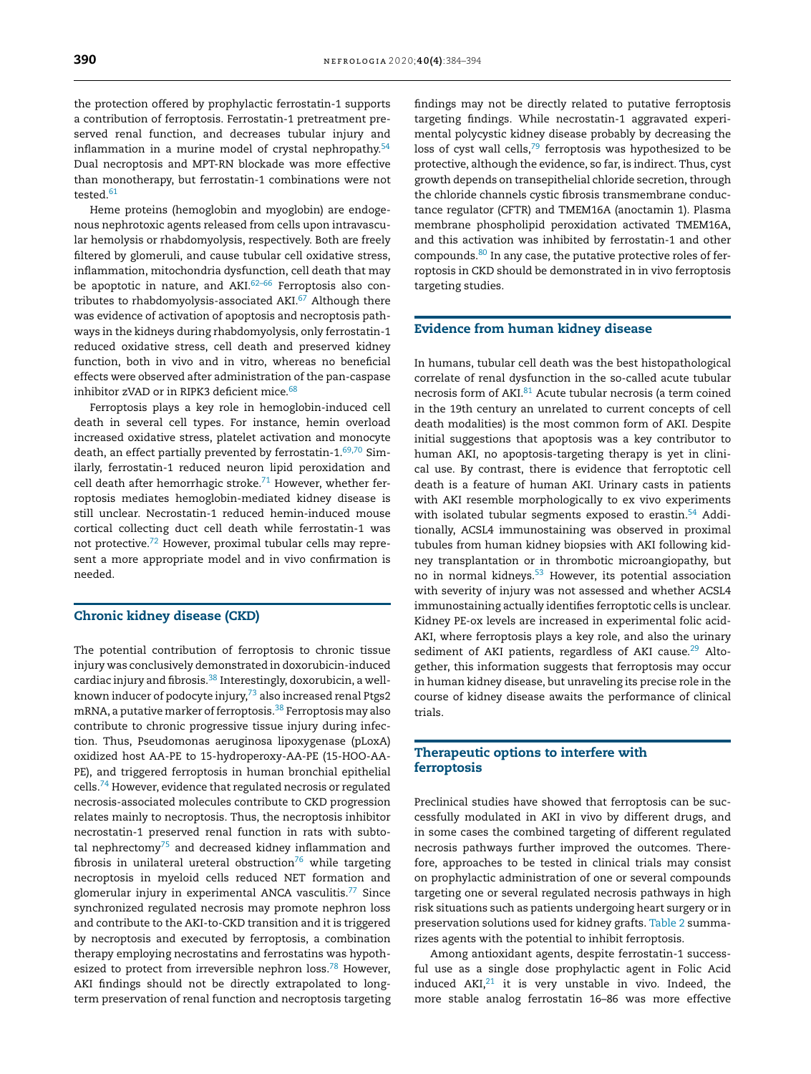the protection offered by prophylactic ferrostatin-1 supports a contribution of ferroptosis. Ferrostatin-1 pretreatment preserved renal function, and decreases tubular injury and inflammation in a murine model of crystal nephropathy. $54$ Dual necroptosis and MPT-RN blockade was more effective than monotherapy, but ferrostatin-1 combinations were not tested.<sup>[61](#page-9-0)</sup>

Heme proteins (hemoglobin and myoglobin) are endogenous nephrotoxic agents released from cells upon intravascular hemolysis or rhabdomyolysis, respectively. Both are freely filtered by glomeruli, and cause tubular cell oxidative stress, inflammation, mitochondria dysfunction, cell death that may be apoptotic in nature, and AKI.<sup>62-66</sup> Ferroptosis also con-tributes to rhabdomyolysis-associated AKI.<sup>[67](#page-9-0)</sup> Although there was evidence of activation of apoptosis and necroptosis pathways in the kidneys during rhabdomyolysis, only ferrostatin-1 reduced oxidative stress, cell death and preserved kidney function, both in vivo and in vitro, whereas no beneficial effects were observed after administration of the pan-caspase inhibitor zVAD or in RIPK3 deficient mice.<sup>[68](#page-9-0)</sup>

Ferroptosis plays a key role in hemoglobin-induced cell death in several cell types. For instance, hemin overload increased oxidative stress, platelet activation and monocyte death, an effect partially prevented by ferrostatin- $1.69,70$  $1.69,70$  Similarly, ferrostatin-1 reduced neuron lipid peroxidation and cell death after hemorrhagic stroke. $71$  However, whether ferroptosis mediates hemoglobin-mediated kidney disease is still unclear. Necrostatin-1 reduced hemin-induced mouse cortical collecting duct cell death while ferrostatin-1 was not protective.<sup>[72](#page-9-0)</sup> However, proximal tubular cells may represent a more appropriate model and in vivo confirmation is needed.

# Chronic kidney disease (CKD)

The potential contribution of ferroptosis to chronic tissue injury was conclusively demonstrated in doxorubicin-induced cardiac injury and fibrosis.<sup>[38](#page-8-0)</sup> Interestingly, doxorubicin, a wellknown inducer of podocyte injury, $73$  also increased renal Ptgs2 mRNA, a putative marker of ferroptosis.<sup>[38](#page-8-0)</sup> Ferroptosis may also contribute to chronic progressive tissue injury during infection. Thus, Pseudomonas aeruginosa lipoxygenase (pLoxA) oxidized host AA-PE to 15-hydroperoxy-AA-PE (15-HOO-AA-PE), and triggered ferroptosis in human bronchial epithelial cells.[74](#page-9-0) However, evidence that regulated necrosis or regulated necrosis-associated molecules contribute to CKD progression relates mainly to necroptosis. Thus, the necroptosis inhibitor necrostatin-1 preserved renal function in rats with subtotal nephrectomy $75$  and decreased kidney inflammation and fibrosis in unilateral ureteral obstruction<sup>[76](#page-10-0)</sup> while targeting necroptosis in myeloid cells reduced NET formation and glomerular injury in experimental ANCA vasculitis.<sup>[77](#page-10-0)</sup> Since synchronized regulated necrosis may promote nephron loss and contribute to the AKI-to-CKD transition and it is triggered by necroptosis and executed by ferroptosis, a combination therapy employing necrostatins and ferrostatins was hypoth-esized to protect from irreversible nephron loss.<sup>[78](#page-10-0)</sup> However, AKI findings should not be directly extrapolated to longterm preservation of renal function and necroptosis targeting

findings may not be directly related to putative ferroptosis targeting findings. While necrostatin-1 aggravated experimental polycystic kidney disease probably by decreasing the loss of cyst wall cells, $79$  ferroptosis was hypothesized to be protective, although the evidence, so far, is indirect. Thus, cyst growth depends on transepithelial chloride secretion, through the chloride channels cystic fibrosis transmembrane conductance regulator (CFTR) and TMEM16A (anoctamin 1). Plasma membrane phospholipid peroxidation activated TMEM16A, and this activation was inhibited by ferrostatin-1 and other compounds.<sup>[80](#page-10-0)</sup> In any case, the putative protective roles of ferroptosis in CKD should be demonstrated in in vivo ferroptosis targeting studies.

# Evidence from human kidney disease

In humans, tubular cell death was the best histopathological correlate of renal dysfunction in the so-called acute tubular necrosis form of AKI.<sup>[81](#page-10-0)</sup> Acute tubular necrosis (a term coined in the 19th century an unrelated to current concepts of cell death modalities) is the most common form of AKI. Despite initial suggestions that apoptosis was a key contributor to human AKI, no apoptosis-targeting therapy is yet in clinical use. By contrast, there is evidence that ferroptotic cell death is a feature of human AKI. Urinary casts in patients with AKI resemble morphologically to ex vivo experiments with isolated tubular segments exposed to erastin. $54$  Additionally, ACSL4 immunostaining was observed in proximal tubules from human kidney biopsies with AKI following kidney transplantation or in thrombotic microangiopathy, but no in normal kidneys.[53](#page-9-0) However, its potential association with severity of injury was not assessed and whether ACSL4 immunostaining actually identifies ferroptotic cells is unclear. Kidney PE-ox levels are increased in experimental folic acid-AKI, where ferroptosis plays a key role, and also the urinary sediment of AKI patients, regardless of AKI cause.<sup>[29](#page-8-0)</sup> Altogether, this information suggests that ferroptosis may occur in human kidney disease, but unraveling its precise role in the course of kidney disease awaits the performance of clinical trials.

# Therapeutic options to interfere with ferroptosis

Preclinical studies have showed that ferroptosis can be successfully modulated in AKI in vivo by different drugs, and in some cases the combined targeting of different regulated necrosis pathways further improved the outcomes. Therefore, approaches to be tested in clinical trials may consist on prophylactic administration of one or several compounds targeting one or several regulated necrosis pathways in high risk situations such as patients undergoing heart surgery or in preservation solutions used for kidney grafts. [Table](#page-4-0) 2 summarizes agents with the potential to inhibit ferroptosis.

Among antioxidant agents, despite ferrostatin-1 successful use as a single dose prophylactic agent in Folic Acid induced  $AKI<sub>1</sub><sup>21</sup>$  $AKI<sub>1</sub><sup>21</sup>$  $AKI<sub>1</sub><sup>21</sup>$  it is very unstable in vivo. Indeed, the more stable analog ferrostatin 16–86 was more effective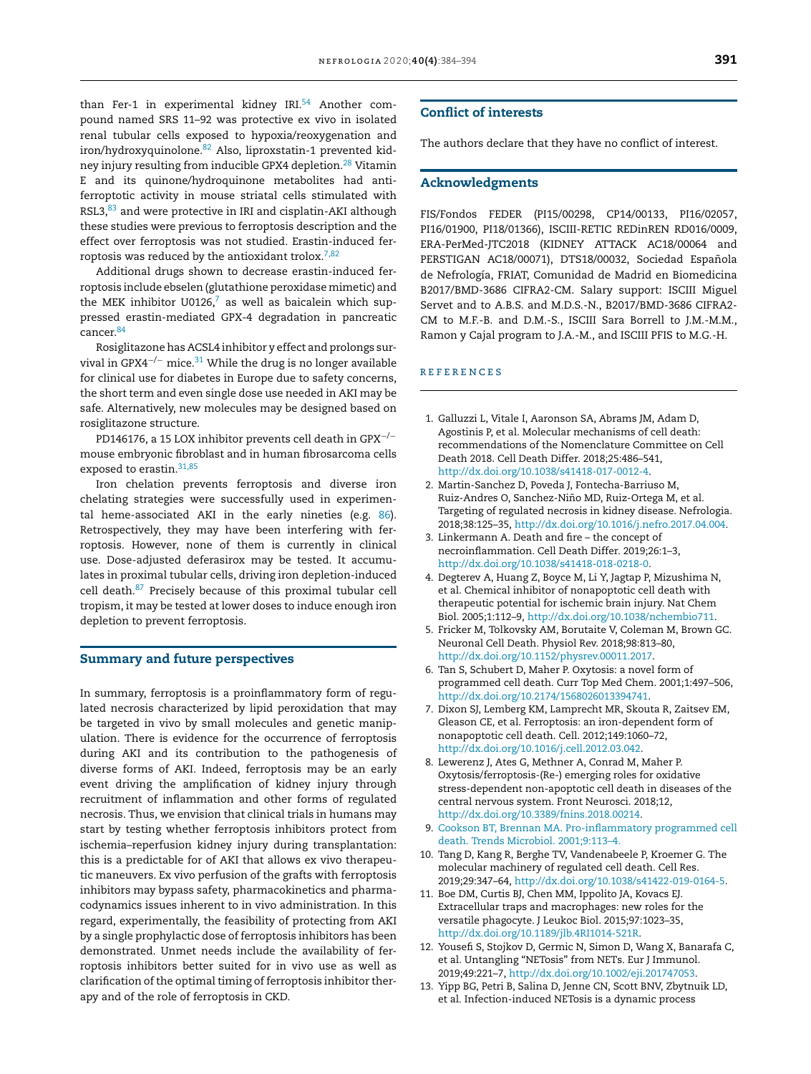<span id="page-7-0"></span>than Fer-1 in experimental kidney IRI. $54$  Another compound named SRS 11–92 was protective ex vivo in isolated renal tubular cells exposed to hypoxia/reoxygenation and iron/hydroxyquinolone.<sup>[82](#page-10-0)</sup> Also, liproxstatin-1 prevented kid-ney injury resulting from inducible GPX4 depletion.<sup>[28](#page-8-0)</sup> Vitamin E and its quinone/hydroquinone metabolites had antiferroptotic activity in mouse striatal cells stimulated with RSL3,<sup>[83](#page-10-0)</sup> and were protective in IRI and cisplatin-AKI although these studies were previous to ferroptosis description and the effect over ferroptosis was not studied. Erastin-induced ferroptosis was reduced by the antioxidant trolox.<sup>7,82</sup>

Additional drugs shown to decrease erastin-induced ferroptosis include ebselen (glutathione peroxidase mimetic) and the MEK inhibitor U0126, $^7$  as well as baicalein which suppressed erastin-mediated GPX-4 degradation in pancreatic cancer.[84](#page-10-0)

Rosiglitazone has ACSL4 inhibitor y effect and prolongs sur-vival in GPX4<sup>-/-</sup> mice.<sup>[31](#page-8-0)</sup> While the drug is no longer available for clinical use for diabetes in Europe due to safety concerns, the short term and even single dose use needed in AKI may be safe. Alternatively, new molecules may be designed based on rosiglitazone structure.

PD146176, a 15 LOX inhibitor prevents cell death in GPX−/<sup>−</sup> mouse embryonic fibroblast and in human fibrosarcoma cells exposed to erastin.<sup>[31,85](#page-8-0)</sup>

Iron chelation prevents ferroptosis and diverse iron chelating strategies were successfully used in experimental heme-associated AKI in the early nineties (e.g. [86\).](#page-10-0) Retrospectively, they may have been interfering with ferroptosis. However, none of them is currently in clinical use. Dose-adjusted deferasirox may be tested. It accumulates in proximal tubular cells, driving iron depletion-induced cell death.<sup>[87](#page-10-0)</sup> Precisely because of this proximal tubular cell tropism, it may be tested at lower doses to induce enough iron depletion to prevent ferroptosis.

# Summary and future perspectives

In summary, ferroptosis is a proinflammatory form of regulated necrosis characterized by lipid peroxidation that may be targeted in vivo by small molecules and genetic manipulation. There is evidence for the occurrence of ferroptosis during AKI and its contribution to the pathogenesis of diverse forms of AKI. Indeed, ferroptosis may be an early event driving the amplification of kidney injury through recruitment of inflammation and other forms of regulated necrosis. Thus, we envision that clinical trials in humans may start by testing whether ferroptosis inhibitors protect from ischemia–reperfusion kidney injury during transplantation: this is a predictable for of AKI that allows ex vivo therapeutic maneuvers. Ex vivo perfusion of the grafts with ferroptosis inhibitors may bypass safety, pharmacokinetics and pharmacodynamics issues inherent to in vivo administration. In this regard, experimentally, the feasibility of protecting from AKI by a single prophylactic dose of ferroptosis inhibitors has been demonstrated. Unmet needs include the availability of ferroptosis inhibitors better suited for in vivo use as well as clarification of the optimal timing of ferroptosis inhibitor therapy and of the role of ferroptosis in CKD.

# Conflict of interests

The authors declare that they have no conflict of interest.

# Acknowledgments

FIS/Fondos FEDER (PI15/00298, CP14/00133, PI16/02057, PI16/01900, PI18/01366), ISCIII-RETIC REDinREN RD016/0009, ERA-PerMed-JTC2018 (KIDNEY ATTACK AC18/00064 and PERSTIGAN AC18/00071), DTS18/00032, Sociedad Española de Nefrología, FRIAT, Comunidad de Madrid en Biomedicina B2017/BMD-3686 CIFRA2-CM. Salary support: ISCIII Miguel Servet and to A.B.S. and M.D.S.-N., B2017/BMD-3686 CIFRA2- CM to M.F.-B. and D.M.-S., ISCIII Sara Borrell to J.M.-M.M., Ramon y Cajal program to J.A.-M., and ISCIII PFIS to M.G.-H.

# **REFERENCES**

- 1. Galluzzi L, Vitale I, Aaronson SA, Abrams JM, Adam D, Agostinis P, et al. Molecular mechanisms of cell death: recommendations of the Nomenclature Committee on Cell Death 2018. Cell Death Differ. 2018;25:486–541, [http://dx.doi.org/10.1038/s41418-017-0012-4](dx.doi.org/10.1038/s41418-017-0012-4).
- 2. Martin-Sanchez D, Poveda J, Fontecha-Barriuso M, Ruiz-Andres O, Sanchez-Niño MD, Ruiz-Ortega M, et al. Targeting of regulated necrosis in kidney disease. Nefrologia. 2018;38:125–35, [http://dx.doi.org/10.1016/j.nefro.2017.04.004](dx.doi.org/10.1016/j.nefro.2017.04.004).
- 3. Linkermann A. Death and fire the concept of necroinflammation. Cell Death Differ. 2019;26:1–3, [http://dx.doi.org/10.1038/s41418-018-0218-0](dx.doi.org/10.1038/s41418-018-0218-0).
- 4. Degterev A, Huang Z, Boyce M, Li Y, Jagtap P, Mizushima N, et al. Chemical inhibitor of nonapoptotic cell death with therapeutic potential for ischemic brain injury. Nat Chem Biol. 2005;1:112–9, [http://dx.doi.org/10.1038/nchembio711.](dx.doi.org/10.1038/nchembio711)
- 5. Fricker M, Tolkovsky AM, Borutaite V, Coleman M, Brown GC. Neuronal Cell Death. Physiol Rev. 2018;98:813–80, [http://dx.doi.org/10.1152/physrev.00011.2017.](dx.doi.org/10.1152/physrev.00011.2017)
- 6. Tan S, Schubert D, Maher P. Oxytosis: a novel form of programmed cell death. Curr Top Med Chem. 2001;1:497–506, [http://dx.doi.org/10.2174/1568026013394741.](dx.doi.org/10.2174/1568026013394741)
- 7. Dixon SJ, Lemberg KM, Lamprecht MR, Skouta R, Zaitsev EM, Gleason CE, et al. Ferroptosis: an iron-dependent form of nonapoptotic cell death. Cell. 2012;149:1060–72, [http://dx.doi.org/10.1016/j.cell.2012.03.042](dx.doi.org/10.1016/j.cell.2012.03.042).
- 8. Lewerenz J, Ates G, Methner A, Conrad M, Maher P. Oxytosis/ferroptosis-(Re-) emerging roles for oxidative stress-dependent non-apoptotic cell death in diseases of the central nervous system. Front Neurosci. 2018;12, [http://dx.doi.org/10.3389/fnins.2018.00214.](dx.doi.org/10.3389/fnins.2018.00214)
- 9. [Cookson](http://refhub.elsevier.com/S0211-6995(20)30052-7/sbref0510) [BT,](http://refhub.elsevier.com/S0211-6995(20)30052-7/sbref0510) [Brennan](http://refhub.elsevier.com/S0211-6995(20)30052-7/sbref0510) [MA.](http://refhub.elsevier.com/S0211-6995(20)30052-7/sbref0510) [Pro-inflammatory](http://refhub.elsevier.com/S0211-6995(20)30052-7/sbref0510) [programmed](http://refhub.elsevier.com/S0211-6995(20)30052-7/sbref0510) [cell](http://refhub.elsevier.com/S0211-6995(20)30052-7/sbref0510) [death.](http://refhub.elsevier.com/S0211-6995(20)30052-7/sbref0510) [Trends](http://refhub.elsevier.com/S0211-6995(20)30052-7/sbref0510) [Microbiol.](http://refhub.elsevier.com/S0211-6995(20)30052-7/sbref0510) [2001;9:113–4.](http://refhub.elsevier.com/S0211-6995(20)30052-7/sbref0510)
- 10. Tang D, Kang R, Berghe TV, Vandenabeele P, Kroemer G. The molecular machinery of regulated cell death. Cell Res. 2019;29:347–64, [http://dx.doi.org/10.1038/s41422-019-0164-5.](dx.doi.org/10.1038/s41422-019-0164-5)
- 11. Boe DM, Curtis BJ, Chen MM, Ippolito JA, Kovacs EJ. Extracellular traps and macrophages: new roles for the versatile phagocyte. J Leukoc Biol. 2015;97:1023–35, [http://dx.doi.org/10.1189/jlb.4RI1014-521R.](dx.doi.org/10.1189/jlb.4RI1014-521R)
- 12. Yousefi S, Stojkov D, Germic N, Simon D, Wang X, Banarafa C, et al. Untangling "NETosis" from NETs. Eur J Immunol. 2019;49:221–7, [http://dx.doi.org/10.1002/eji.201747053](dx.doi.org/10.1002/eji.201747053).
- 13. Yipp BG, Petri B, Salina D, Jenne CN, Scott BNV, Zbytnuik LD, et al. Infection-induced NETosis is a dynamic process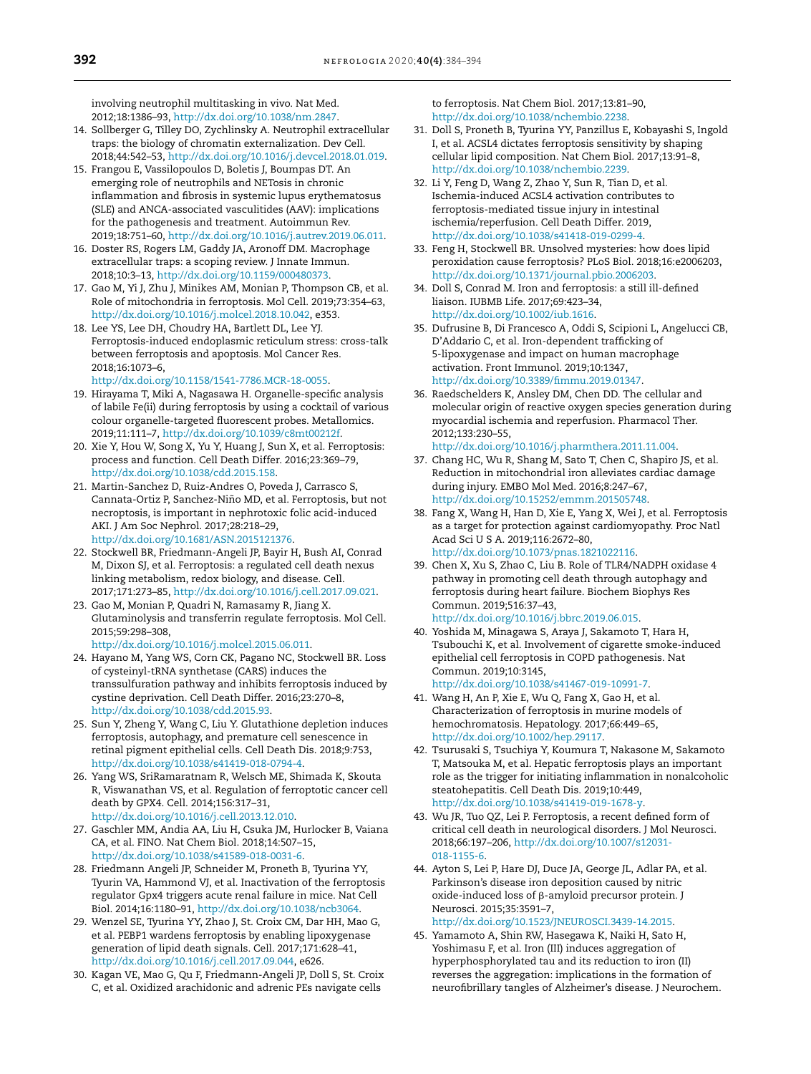<span id="page-8-0"></span>involving neutrophil multitasking in vivo. Nat Med. 2012;18:1386–93, [http://dx.doi.org/10.1038/nm.2847.](dx.doi.org/10.1038/nm.2847)

- 14. Sollberger G, Tilley DO, Zychlinsky A. Neutrophil extracellular traps: the biology of chromatin externalization. Dev Cell. 2018;44:542–53, [http://dx.doi.org/10.1016/j.devcel.2018.01.019.](dx.doi.org/10.1016/j.devcel.2018.01.019)
- 15. Frangou E, Vassilopoulos D, Boletis J, Boumpas DT. An emerging role of neutrophils and NETosis in chronic inflammation and fibrosis in systemic lupus erythematosus (SLE) and ANCA-associated vasculitides (AAV): implications for the pathogenesis and treatment. Autoimmun Rev. 2019;18:751–60, [http://dx.doi.org/10.1016/j.autrev.2019.06.011](dx.doi.org/10.1016/j.autrev.2019.06.011).
- 16. Doster RS, Rogers LM, Gaddy JA, Aronoff DM. Macrophage extracellular traps: a scoping review. J Innate Immun. 2018;10:3–13, [http://dx.doi.org/10.1159/000480373](dx.doi.org/10.1159/000480373).
- 17. Gao M, Yi J, Zhu J, Minikes AM, Monian P, Thompson CB, et al. Role of mitochondria in ferroptosis. Mol Cell. 2019;73:354–63, [http://dx.doi.org/10.1016/j.molcel.2018.10.042](dx.doi.org/10.1016/j.molcel.2018.10.042), e353.
- 18. Lee YS, Lee DH, Choudry HA, Bartlett DL, Lee YJ. Ferroptosis-induced endoplasmic reticulum stress: cross-talk between ferroptosis and apoptosis. Mol Cancer Res. 2018;16:1073–6,

[http://dx.doi.org/10.1158/1541-7786.MCR-18-0055.](dx.doi.org/10.1158/1541-7786.MCR-18-0055)

- 19. Hirayama T, Miki A, Nagasawa H. Organelle-specific analysis of labile Fe(ii) during ferroptosis by using a cocktail of various colour organelle-targeted fluorescent probes. Metallomics. 2019;11:111–7, [http://dx.doi.org/10.1039/c8mt00212f](dx.doi.org/10.1039/c8mt00212f).
- 20. Xie Y, Hou W, Song X, Yu Y, Huang J, Sun X, et al. Ferroptosis: process and function. Cell Death Differ. 2016;23:369–79, [http://dx.doi.org/10.1038/cdd.2015.158](dx.doi.org/10.1038/cdd.2015.158).
- 21. Martin-Sanchez D, Ruiz-Andres O, Poveda J, Carrasco S, Cannata-Ortiz P, Sanchez-Nino˜ MD, et al. Ferroptosis, but not necroptosis, is important in nephrotoxic folic acid-induced AKI. J Am Soc Nephrol. 2017;28:218–29, [http://dx.doi.org/10.1681/ASN.2015121376](dx.doi.org/10.1681/ASN.2015121376).
- 22. Stockwell BR, Friedmann-Angeli JP, Bayir H, Bush AI, Conrad M, Dixon SJ, et al. Ferroptosis: a regulated cell death nexus linking metabolism, redox biology, and disease. Cell. 2017;171:273–85, [http://dx.doi.org/10.1016/j.cell.2017.09.021](dx.doi.org/10.1016/j.cell.2017.09.021).
- 23. Gao M, Monian P, Quadri N, Ramasamy R, Jiang X. Glutaminolysis and transferrin regulate ferroptosis. Mol Cell. 2015;59:298–308, [http://dx.doi.org/10.1016/j.molcel.2015.06.011](dx.doi.org/10.1016/j.molcel.2015.06.011).
- 24. Hayano M, Yang WS, Corn CK, Pagano NC, Stockwell BR. Loss of cysteinyl-tRNA synthetase (CARS) induces the transsulfuration pathway and inhibits ferroptosis induced by cystine deprivation. Cell Death Differ. 2016;23:270–8, [http://dx.doi.org/10.1038/cdd.2015.93](dx.doi.org/10.1038/cdd.2015.93).
- 25. Sun Y, Zheng Y, Wang C, Liu Y. Glutathione depletion induces ferroptosis, autophagy, and premature cell senescence in retinal pigment epithelial cells. Cell Death Dis. 2018;9:753, [http://dx.doi.org/10.1038/s41419-018-0794-4.](dx.doi.org/10.1038/s41419-018-0794-4)
- 26. Yang WS, SriRamaratnam R, Welsch ME, Shimada K, Skouta R, Viswanathan VS, et al. Regulation of ferroptotic cancer cell death by GPX4. Cell. 2014;156:317–31, [http://dx.doi.org/10.1016/j.cell.2013.12.010](dx.doi.org/10.1016/j.cell.2013.12.010).
- 27. Gaschler MM, Andia AA, Liu H, Csuka JM, Hurlocker B, Vaiana CA, et al. FINO. Nat Chem Biol. 2018;14:507–15, [http://dx.doi.org/10.1038/s41589-018-0031-6.](dx.doi.org/10.1038/s41589-018-0031-6)
- 28. Friedmann Angeli JP, Schneider M, Proneth B, Tyurina YY, Tyurin VA, Hammond VJ, et al. Inactivation of the ferroptosis regulator Gpx4 triggers acute renal failure in mice. Nat Cell Biol. 2014;16:1180–91, [http://dx.doi.org/10.1038/ncb3064](dx.doi.org/10.1038/ncb3064).
- 29. Wenzel SE, Tyurina YY, Zhao J, St. Croix CM, Dar HH, Mao G, et al. PEBP1 wardens ferroptosis by enabling lipoxygenase generation of lipid death signals. Cell. 2017;171:628–41, [http://dx.doi.org/10.1016/j.cell.2017.09.044](dx.doi.org/10.1016/j.cell.2017.09.044), e626.
- 30. Kagan VE, Mao G, Qu F, Friedmann-Angeli JP, Doll S, St. Croix C, et al. Oxidized arachidonic and adrenic PEs navigate cells

to ferroptosis. Nat Chem Biol. 2017;13:81–90, [http://dx.doi.org/10.1038/nchembio.2238.](dx.doi.org/10.1038/nchembio.2238)

- 31. Doll S, Proneth B, Tyurina YY, Panzillus E, Kobayashi S, Ingold I, et al. ACSL4 dictates ferroptosis sensitivity by shaping cellular lipid composition. Nat Chem Biol. 2017;13:91–8, [http://dx.doi.org/10.1038/nchembio.2239.](dx.doi.org/10.1038/nchembio.2239)
- 32. Li Y, Feng D, Wang Z, Zhao Y, Sun R, Tian D, et al. Ischemia-induced ACSL4 activation contributes to ferroptosis-mediated tissue injury in intestinal ischemia/reperfusion. Cell Death Differ. 2019, [http://dx.doi.org/10.1038/s41418-019-0299-4.](dx.doi.org/10.1038/s41418-019-0299-4)
- 33. Feng H, Stockwell BR. Unsolved mysteries: how does lipid peroxidation cause ferroptosis? PLoS Biol. 2018;16:e2006203, [http://dx.doi.org/10.1371/journal.pbio.2006203](dx.doi.org/10.1371/journal.pbio.2006203).
- 34. Doll S, Conrad M. Iron and ferroptosis: a still ill-defined liaison. IUBMB Life. 2017;69:423–34, [http://dx.doi.org/10.1002/iub.1616.](dx.doi.org/10.1002/iub.1616)
- 35. Dufrusine B, Di Francesco A, Oddi S, Scipioni L, Angelucci CB, D'Addario C, et al. Iron-dependent trafficking of 5-lipoxygenase and impact on human macrophage activation. Front Immunol. 2019;10:1347, [http://dx.doi.org/10.3389/fimmu.2019.01347.](dx.doi.org/10.3389/fimmu.2019.01347)
- 36. Raedschelders K, Ansley DM, Chen DD. The cellular and molecular origin of reactive oxygen species generation during myocardial ischemia and reperfusion. Pharmacol Ther. 2012;133:230–55, [http://dx.doi.org/10.1016/j.pharmthera.2011.11.004.](dx.doi.org/10.1016/j.pharmthera.2011.11.004)
- 37. Chang HC, Wu R, Shang M, Sato T, Chen C, Shapiro JS, et al. Reduction in mitochondrial iron alleviates cardiac damage during injury. EMBO Mol Med. 2016;8:247–67, [http://dx.doi.org/10.15252/emmm.201505748.](dx.doi.org/10.15252/emmm.201505748)
- 38. Fang X, Wang H, Han D, Xie E, Yang X, Wei J, et al. Ferroptosis as a target for protection against cardiomyopathy. Proc Natl Acad Sci U S A. 2019;116:2672–80, [http://dx.doi.org/10.1073/pnas.1821022116](dx.doi.org/10.1073/pnas.1821022116).
- 39. Chen X, Xu S, Zhao C, Liu B. Role of TLR4/NADPH oxidase 4 pathway in promoting cell death through autophagy and ferroptosis during heart failure. Biochem Biophys Res Commun. 2019;516:37–43, [http://dx.doi.org/10.1016/j.bbrc.2019.06.015.](dx.doi.org/10.1016/j.bbrc.2019.06.015)
- 40. Yoshida M, Minagawa S, Araya J, Sakamoto T, Hara H, Tsubouchi K, et al. Involvement of cigarette smoke-induced epithelial cell ferroptosis in COPD pathogenesis. Nat Commun. 2019;10:3145, [http://dx.doi.org/10.1038/s41467-019-10991-7.](dx.doi.org/10.1038/s41467-019-10991-7)
- 41. Wang H, An P, Xie E, Wu Q, Fang X, Gao H, et al. Characterization of ferroptosis in murine models of hemochromatosis. Hepatology. 2017;66:449–65, [http://dx.doi.org/10.1002/hep.29117](dx.doi.org/10.1002/hep.29117).
- 42. Tsurusaki S, Tsuchiya Y, Koumura T, Nakasone M, Sakamoto T, Matsouka M, et al. Hepatic ferroptosis plays an important role as the trigger for initiating inflammation in nonalcoholic steatohepatitis. Cell Death Dis. 2019;10:449, [http://dx.doi.org/10.1038/s41419-019-1678-y.](dx.doi.org/10.1038/s41419-019-1678-y)
- 43. Wu JR, Tuo QZ, Lei P. Ferroptosis, a recent defined form of critical cell death in neurological disorders. J Mol Neurosci. 2018;66:197–206, [http://dx.doi.org/10.1007/s12031-](dx.doi.org/10.1007/s12031-018-1155-6) [018-1155-6](dx.doi.org/10.1007/s12031-018-1155-6).
- 44. Ayton S, Lei P, Hare DJ, Duce JA, George JL, Adlar PA, et al. Parkinson's disease iron deposition caused by nitric oxide-induced loss of  $\beta$ -amyloid precursor protein. J Neurosci. 2015;35:3591–7, [http://dx.doi.org/10.1523/JNEUROSCI.3439-14.2015](dx.doi.org/10.1523/JNEUROSCI.3439-14.2015).
- 45. Yamamoto A, Shin RW, Hasegawa K, Naiki H, Sato H, Yoshimasu F, et al. Iron (III) induces aggregation of hyperphosphorylated tau and its reduction to iron (II) reverses the aggregation: implications in the formation of neurofibrillary tangles of Alzheimer's disease. J Neurochem.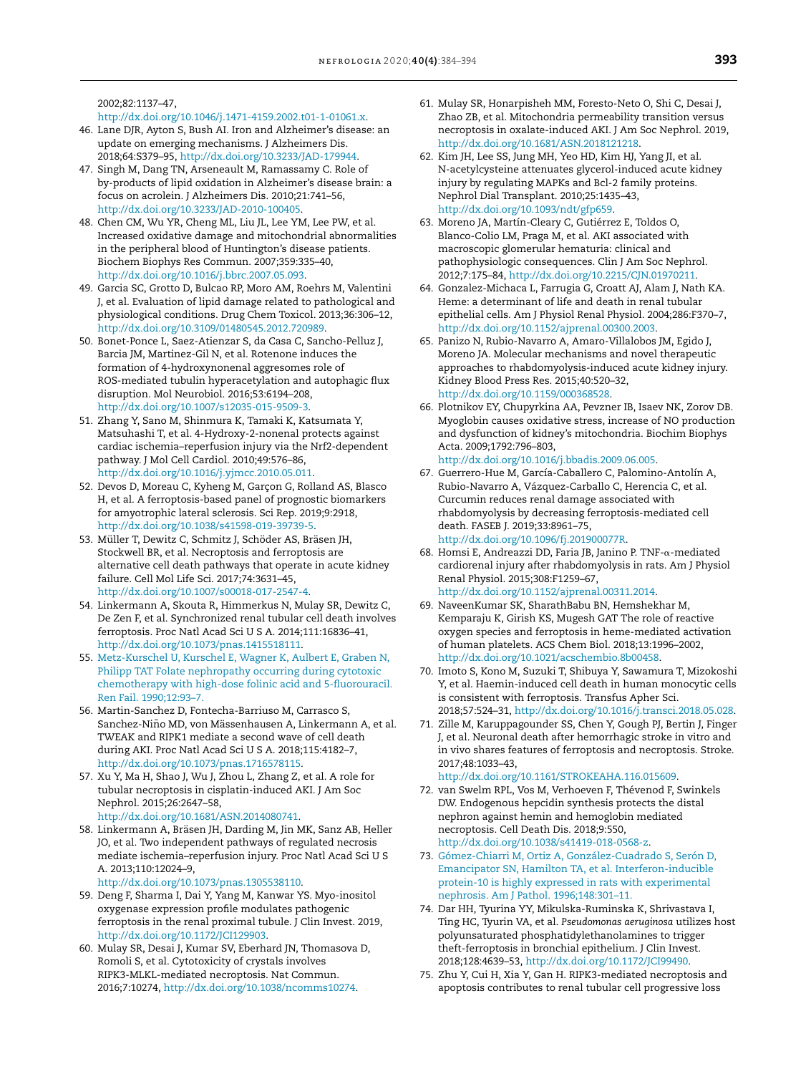<span id="page-9-0"></span>2002;82:1137–47,

[http://dx.doi.org/10.1046/j.1471-4159.2002.t01-1-01061.x](dx.doi.org/10.1046/j.1471-4159.2002.t01-1-01061.x).

- 46. Lane DJR, Ayton S, Bush AI. Iron and Alzheimer's disease: an update on emerging mechanisms. J Alzheimers Dis. 2018;64:S379–95, [http://dx.doi.org/10.3233/JAD-179944.](dx.doi.org/10.3233/JAD-179944)
- 47. Singh M, Dang TN, Arseneault M, Ramassamy C. Role of by-products of lipid oxidation in Alzheimer's disease brain: a focus on acrolein. J Alzheimers Dis. 2010;21:741–56, [http://dx.doi.org/10.3233/JAD-2010-100405](dx.doi.org/10.3233/JAD-2010-100405).
- 48. Chen CM, Wu YR, Cheng ML, Liu JL, Lee YM, Lee PW, et al. Increased oxidative damage and mitochondrial abnormalities in the peripheral blood of Huntington's disease patients. Biochem Biophys Res Commun. 2007;359:335–40, [http://dx.doi.org/10.1016/j.bbrc.2007.05.093](dx.doi.org/10.1016/j.bbrc.2007.05.093).
- 49. Garcia SC, Grotto D, Bulcao RP, Moro AM, Roehrs M, Valentini J, et al. Evaluation of lipid damage related to pathological and physiological conditions. Drug Chem Toxicol. 2013;36:306–12, [http://dx.doi.org/10.3109/01480545.2012.720989](dx.doi.org/10.3109/01480545.2012.720989).
- 50. Bonet-Ponce L, Saez-Atienzar S, da Casa C, Sancho-Pelluz J, Barcia JM, Martinez-Gil N, et al. Rotenone induces the formation of 4-hydroxynonenal aggresomes role of ROS-mediated tubulin hyperacetylation and autophagic flux disruption. Mol Neurobiol. 2016;53:6194–208, [http://dx.doi.org/10.1007/s12035-015-9509-3](dx.doi.org/10.1007/s12035-015-9509-3).
- 51. Zhang Y, Sano M, Shinmura K, Tamaki K, Katsumata Y, Matsuhashi T, et al. 4-Hydroxy-2-nonenal protects against cardiac ischemia–reperfusion injury via the Nrf2-dependent pathway. J Mol Cell Cardiol. 2010;49:576–86, [http://dx.doi.org/10.1016/j.yjmcc.2010.05.011](dx.doi.org/10.1016/j.yjmcc.2010.05.011).
- 52. Devos D, Moreau C, Kyheng M, Garçon G, Rolland AS, Blasco H, et al. A ferroptosis-based panel of prognostic biomarkers for amyotrophic lateral sclerosis. Sci Rep. 2019;9:2918, [http://dx.doi.org/10.1038/s41598-019-39739-5](dx.doi.org/10.1038/s41598-019-39739-5).
- 53. Müller T, Dewitz C, Schmitz J, Schöder AS, Bräsen JH, Stockwell BR, et al. Necroptosis and ferroptosis are alternative cell death pathways that operate in acute kidney failure. Cell Mol Life Sci. 2017;74:3631–45, [http://dx.doi.org/10.1007/s00018-017-2547-4](dx.doi.org/10.1007/s00018-017-2547-4).
- 54. Linkermann A, Skouta R, Himmerkus N, Mulay SR, Dewitz C, De Zen F, et al. Synchronized renal tubular cell death involves ferroptosis. Proc Natl Acad Sci U S A. 2014;111:16836–41, [http://dx.doi.org/10.1073/pnas.1415518111.](dx.doi.org/10.1073/pnas.1415518111)
- 55. [Metz-Kurschel](http://refhub.elsevier.com/S0211-6995(20)30052-7/sbref0740) [U,](http://refhub.elsevier.com/S0211-6995(20)30052-7/sbref0740) [Kurschel](http://refhub.elsevier.com/S0211-6995(20)30052-7/sbref0740) [E,](http://refhub.elsevier.com/S0211-6995(20)30052-7/sbref0740) [Wagner](http://refhub.elsevier.com/S0211-6995(20)30052-7/sbref0740) [K,](http://refhub.elsevier.com/S0211-6995(20)30052-7/sbref0740) [Aulbert](http://refhub.elsevier.com/S0211-6995(20)30052-7/sbref0740) [E,](http://refhub.elsevier.com/S0211-6995(20)30052-7/sbref0740) [Graben](http://refhub.elsevier.com/S0211-6995(20)30052-7/sbref0740) [N,](http://refhub.elsevier.com/S0211-6995(20)30052-7/sbref0740) [Philipp](http://refhub.elsevier.com/S0211-6995(20)30052-7/sbref0740) [TAT](http://refhub.elsevier.com/S0211-6995(20)30052-7/sbref0740) [Folate](http://refhub.elsevier.com/S0211-6995(20)30052-7/sbref0740) [nephropathy](http://refhub.elsevier.com/S0211-6995(20)30052-7/sbref0740) [occurring](http://refhub.elsevier.com/S0211-6995(20)30052-7/sbref0740) [during](http://refhub.elsevier.com/S0211-6995(20)30052-7/sbref0740) [cytotoxic](http://refhub.elsevier.com/S0211-6995(20)30052-7/sbref0740) [chemotherapy](http://refhub.elsevier.com/S0211-6995(20)30052-7/sbref0740) [with](http://refhub.elsevier.com/S0211-6995(20)30052-7/sbref0740) [high-dose](http://refhub.elsevier.com/S0211-6995(20)30052-7/sbref0740) [folinic](http://refhub.elsevier.com/S0211-6995(20)30052-7/sbref0740) [acid](http://refhub.elsevier.com/S0211-6995(20)30052-7/sbref0740) [and](http://refhub.elsevier.com/S0211-6995(20)30052-7/sbref0740) [5-fluorouracil.](http://refhub.elsevier.com/S0211-6995(20)30052-7/sbref0740) [Ren](http://refhub.elsevier.com/S0211-6995(20)30052-7/sbref0740) [Fail.](http://refhub.elsevier.com/S0211-6995(20)30052-7/sbref0740) [1990;12:93](http://refhub.elsevier.com/S0211-6995(20)30052-7/sbref0740)–[7.](http://refhub.elsevier.com/S0211-6995(20)30052-7/sbref0740)
- 56. Martin-Sanchez D, Fontecha-Barriuso M, Carrasco S, Sanchez-Niño MD, von Mässenhausen A, Linkermann A, et al. TWEAK and RIPK1 mediate a second wave of cell death during AKI. Proc Natl Acad Sci U S A. 2018;115:4182–7, [http://dx.doi.org/10.1073/pnas.1716578115.](dx.doi.org/10.1073/pnas.1716578115)
- 57. Xu Y, Ma H, Shao J, Wu J, Zhou L, Zhang Z, et al. A role for tubular necroptosis in cisplatin-induced AKI. J Am Soc Nephrol. 2015;26:2647–58, [http://dx.doi.org/10.1681/ASN.2014080741.](dx.doi.org/10.1681/ASN.2014080741)
- 58. Linkermann A, Bräsen JH, Darding M, Jin MK, Sanz AB, Heller JO, et al. Two independent pathways of regulated necrosis mediate ischemia–reperfusion injury. Proc Natl Acad Sci U S A. 2013;110:12024–9,

[http://dx.doi.org/10.1073/pnas.1305538110.](dx.doi.org/10.1073/pnas.1305538110)

- 59. Deng F, Sharma I, Dai Y, Yang M, Kanwar YS. Myo-inositol oxygenase expression profile modulates pathogenic ferroptosis in the renal proximal tubule. J Clin Invest. 2019, [http://dx.doi.org/10.1172/JCI129903](dx.doi.org/10.1172/JCI129903).
- 60. Mulay SR, Desai J, Kumar SV, Eberhard JN, Thomasova D, Romoli S, et al. Cytotoxicity of crystals involves RIPK3-MLKL-mediated necroptosis. Nat Commun. 2016;7:10274, [http://dx.doi.org/10.1038/ncomms10274.](dx.doi.org/10.1038/ncomms10274)
- 61. Mulay SR, Honarpisheh MM, Foresto-Neto O, Shi C, Desai J, Zhao ZB, et al. Mitochondria permeability transition versus necroptosis in oxalate-induced AKI. J Am Soc Nephrol. 2019, [http://dx.doi.org/10.1681/ASN.2018121218.](dx.doi.org/10.1681/ASN.2018121218)
- 62. Kim JH, Lee SS, Jung MH, Yeo HD, Kim HJ, Yang JI, et al. N-acetylcysteine attenuates glycerol-induced acute kidney injury by regulating MAPKs and Bcl-2 family proteins. Nephrol Dial Transplant. 2010;25:1435–43, [http://dx.doi.org/10.1093/ndt/gfp659.](dx.doi.org/10.1093/ndt/gfp659)
- 63. Moreno JA, Martín-Cleary C, Gutiérrez E, Toldos O, Blanco-Colio LM, Praga M, et al. AKI associated with macroscopic glomerular hematuria: clinical and pathophysiologic consequences. Clin J Am Soc Nephrol. 2012;7:175–84, [http://dx.doi.org/10.2215/CJN.01970211](dx.doi.org/10.2215/CJN.01970211).
- 64. Gonzalez-Michaca L, Farrugia G, Croatt AJ, Alam J, Nath KA. Heme: a determinant of life and death in renal tubular epithelial cells. Am J Physiol Renal Physiol. 2004;286:F370–7, [http://dx.doi.org/10.1152/ajprenal.00300.2003](dx.doi.org/10.1152/ajprenal.00300.2003).
- 65. Panizo N, Rubio-Navarro A, Amaro-Villalobos JM, Egido J, Moreno JA. Molecular mechanisms and novel therapeutic approaches to rhabdomyolysis-induced acute kidney injury. Kidney Blood Press Res. 2015;40:520–32, [http://dx.doi.org/10.1159/000368528.](dx.doi.org/10.1159/000368528)
- 66. Plotnikov EY, Chupyrkina AA, Pevzner IB, Isaev NK, Zorov DB. Myoglobin causes oxidative stress, increase of NO production and dysfunction of kidney's mitochondria. Biochim Biophys Acta. 2009;1792:796–803,
- [http://dx.doi.org/10.1016/j.bbadis.2009.06.005](dx.doi.org/10.1016/j.bbadis.2009.06.005). 67. Guerrero-Hue M, García-Caballero C, Palomino-Antolín A, Rubio-Navarro A, Vázquez-Carballo C, Herencia C, et al. Curcumin reduces renal damage associated with rhabdomyolysis by decreasing ferroptosis-mediated cell death. FASEB J. 2019;33:8961–75, [http://dx.doi.org/10.1096/fj.201900077R.](dx.doi.org/10.1096/fj.201900077R)
- 68. Homsi E, Andreazzi DD, Faria JB, Janino P. TNF-α-mediated cardiorenal injury after rhabdomyolysis in rats. Am J Physiol Renal Physiol. 2015;308:F1259–67, [http://dx.doi.org/10.1152/ajprenal.00311.2014](dx.doi.org/10.1152/ajprenal.00311.2014).
- 69. NaveenKumar SK, SharathBabu BN, Hemshekhar M, Kemparaju K, Girish KS, Mugesh GAT The role of reactive oxygen species and ferroptosis in heme-mediated activation of human platelets. ACS Chem Biol. 2018;13:1996–2002, [http://dx.doi.org/10.1021/acschembio.8b00458](dx.doi.org/10.1021/acschembio.8b00458).
- 70. Imoto S, Kono M, Suzuki T, Shibuya Y, Sawamura T, Mizokoshi Y, et al. Haemin-induced cell death in human monocytic cells is consistent with ferroptosis. Transfus Apher Sci. 2018;57:524–31, [http://dx.doi.org/10.1016/j.transci.2018.05.028](dx.doi.org/10.1016/j.transci.2018.05.028).
- 71. Zille M, Karuppagounder SS, Chen Y, Gough PJ, Bertin J, Finger J, et al. Neuronal death after hemorrhagic stroke in vitro and in vivo shares features of ferroptosis and necroptosis. Stroke. 2017;48:1033–43,
	- [http://dx.doi.org/10.1161/STROKEAHA.116.015609](dx.doi.org/10.1161/STROKEAHA.116.015609).
- 72. van Swelm RPL, Vos M, Verhoeven F, Thévenod F, Swinkels DW. Endogenous hepcidin synthesis protects the distal nephron against hemin and hemoglobin mediated necroptosis. Cell Death Dis. 2018;9:550, [http://dx.doi.org/10.1038/s41419-018-0568-z](dx.doi.org/10.1038/s41419-018-0568-z).
- 73. [Gómez-Chiarri](http://refhub.elsevier.com/S0211-6995(20)30052-7/sbref0830) [M,](http://refhub.elsevier.com/S0211-6995(20)30052-7/sbref0830) [Ortiz](http://refhub.elsevier.com/S0211-6995(20)30052-7/sbref0830) [A,](http://refhub.elsevier.com/S0211-6995(20)30052-7/sbref0830) [González-Cuadrado](http://refhub.elsevier.com/S0211-6995(20)30052-7/sbref0830) [S,](http://refhub.elsevier.com/S0211-6995(20)30052-7/sbref0830) [Serón](http://refhub.elsevier.com/S0211-6995(20)30052-7/sbref0830) [D,](http://refhub.elsevier.com/S0211-6995(20)30052-7/sbref0830) [Emancipator](http://refhub.elsevier.com/S0211-6995(20)30052-7/sbref0830) [SN,](http://refhub.elsevier.com/S0211-6995(20)30052-7/sbref0830) [Hamilton](http://refhub.elsevier.com/S0211-6995(20)30052-7/sbref0830) [TA,](http://refhub.elsevier.com/S0211-6995(20)30052-7/sbref0830) [et](http://refhub.elsevier.com/S0211-6995(20)30052-7/sbref0830) [al.](http://refhub.elsevier.com/S0211-6995(20)30052-7/sbref0830) [Interferon-inducible](http://refhub.elsevier.com/S0211-6995(20)30052-7/sbref0830) [protein-10](http://refhub.elsevier.com/S0211-6995(20)30052-7/sbref0830) [is](http://refhub.elsevier.com/S0211-6995(20)30052-7/sbref0830) [highly](http://refhub.elsevier.com/S0211-6995(20)30052-7/sbref0830) [expressed](http://refhub.elsevier.com/S0211-6995(20)30052-7/sbref0830) [in](http://refhub.elsevier.com/S0211-6995(20)30052-7/sbref0830) [rats](http://refhub.elsevier.com/S0211-6995(20)30052-7/sbref0830) [with](http://refhub.elsevier.com/S0211-6995(20)30052-7/sbref0830) [experimental](http://refhub.elsevier.com/S0211-6995(20)30052-7/sbref0830) [nephrosis.](http://refhub.elsevier.com/S0211-6995(20)30052-7/sbref0830) [Am](http://refhub.elsevier.com/S0211-6995(20)30052-7/sbref0830) [J](http://refhub.elsevier.com/S0211-6995(20)30052-7/sbref0830) [Pathol.](http://refhub.elsevier.com/S0211-6995(20)30052-7/sbref0830) [1996;148:301–11.](http://refhub.elsevier.com/S0211-6995(20)30052-7/sbref0830)
- 74. Dar HH, Tyurina YY, Mikulska-Ruminska K, Shrivastava I, Ting HC, Tyurin VA, et al. *Pseudomonas aeruginosa* utilizes host polyunsaturated phosphatidylethanolamines to trigger theft-ferroptosis in bronchial epithelium. J Clin Invest. 2018;128:4639–53, [http://dx.doi.org/10.1172/JCI99490](dx.doi.org/10.1172/JCI99490).
- 75. Zhu Y, Cui H, Xia Y, Gan H. RIPK3-mediated necroptosis and apoptosis contributes to renal tubular cell progressive loss